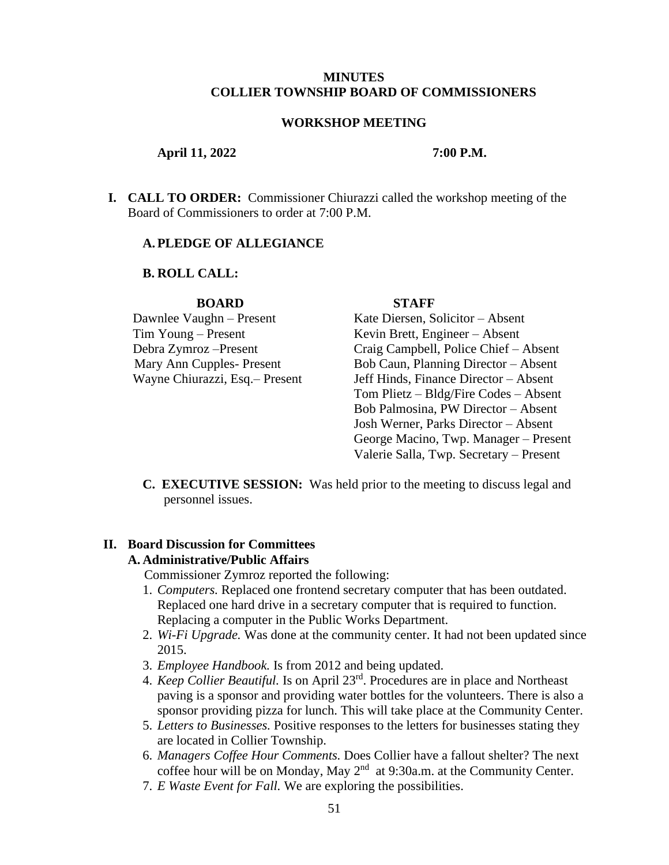## **MINUTES COLLIER TOWNSHIP BOARD OF COMMISSIONERS**

## **WORKSHOP MEETING**

#### **April 11, 2022 7:00 P.M.**

**I. CALL TO ORDER:** Commissioner Chiurazzi called the workshop meeting of the Board of Commissioners to order at 7:00 P.M.

#### **A.PLEDGE OF ALLEGIANCE**

### **B. ROLL CALL:**

#### **BOARD STAFF**

Tim Young – Present Kevin Brett, Engineer – Absent

Dawnlee Vaughn – Present Kate Diersen, Solicitor – Absent Debra Zymroz –Present Craig Campbell, Police Chief – Absent Mary Ann Cupples- Present Bob Caun, Planning Director – Absent Wayne Chiurazzi, Esq.– Present Jeff Hinds, Finance Director – Absent Tom Plietz – Bldg/Fire Codes – Absent Bob Palmosina, PW Director – Absent Josh Werner, Parks Director – Absent George Macino, Twp. Manager – Present Valerie Salla, Twp. Secretary – Present

**C. EXECUTIVE SESSION:** Was held prior to the meeting to discuss legal and personnel issues.

### **II. Board Discussion for Committees**

### **A. Administrative/Public Affairs**

Commissioner Zymroz reported the following:

- 1. *Computers.* Replaced one frontend secretary computer that has been outdated. Replaced one hard drive in a secretary computer that is required to function. Replacing a computer in the Public Works Department.
- 2. *Wi-Fi Upgrade.* Was done at the community center. It had not been updated since 2015.
- 3. *Employee Handbook.* Is from 2012 and being updated.
- 4. *Keep Collier Beautiful.* Is on April 23rd . Procedures are in place and Northeast paving is a sponsor and providing water bottles for the volunteers. There is also a sponsor providing pizza for lunch. This will take place at the Community Center.
- 5. *Letters to Businesses.* Positive responses to the letters for businesses stating they are located in Collier Township.
- 6. *Managers Coffee Hour Comments.* Does Collier have a fallout shelter? The next coffee hour will be on Monday, May 2<sup>nd</sup> at 9:30a.m. at the Community Center.
- 7. *E Waste Event for Fall.* We are exploring the possibilities.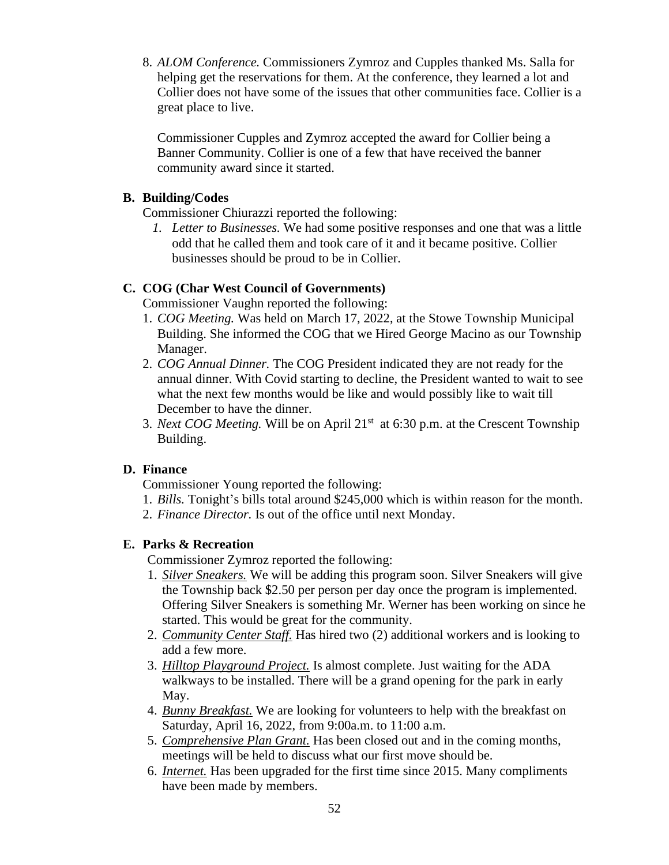8. *ALOM Conference.* Commissioners Zymroz and Cupples thanked Ms. Salla for helping get the reservations for them. At the conference, they learned a lot and Collier does not have some of the issues that other communities face. Collier is a great place to live.

Commissioner Cupples and Zymroz accepted the award for Collier being a Banner Community. Collier is one of a few that have received the banner community award since it started.

# **B. Building/Codes**

Commissioner Chiurazzi reported the following:

*1. Letter to Businesses.* We had some positive responses and one that was a little odd that he called them and took care of it and it became positive. Collier businesses should be proud to be in Collier.

# **C. COG (Char West Council of Governments)**

Commissioner Vaughn reported the following:

- 1. *COG Meeting.* Was held on March 17, 2022, at the Stowe Township Municipal Building. She informed the COG that we Hired George Macino as our Township Manager.
- 2. *COG Annual Dinner.* The COG President indicated they are not ready for the annual dinner. With Covid starting to decline, the President wanted to wait to see what the next few months would be like and would possibly like to wait till December to have the dinner.
- 3. *Next COG Meeting*. Will be on April 21<sup>st</sup> at 6:30 p.m. at the Crescent Township Building.

# **D. Finance**

Commissioner Young reported the following:

- 1. *Bills.* Tonight's bills total around \$245,000 which is within reason for the month.
- 2. *Finance Director.* Is out of the office until next Monday.

# **E. Parks & Recreation**

Commissioner Zymroz reported the following:

- 1. *Silver Sneakers.* We will be adding this program soon. Silver Sneakers will give the Township back \$2.50 per person per day once the program is implemented. Offering Silver Sneakers is something Mr. Werner has been working on since he started. This would be great for the community.
- 2. *Community Center Staff.* Has hired two (2) additional workers and is looking to add a few more.
- 3. *Hilltop Playground Project.* Is almost complete. Just waiting for the ADA walkways to be installed. There will be a grand opening for the park in early May.
- 4. *Bunny Breakfast.* We are looking for volunteers to help with the breakfast on Saturday, April 16, 2022, from 9:00a.m. to 11:00 a.m.
- 5. *Comprehensive Plan Grant.* Has been closed out and in the coming months, meetings will be held to discuss what our first move should be.
- 6. *Internet.* Has been upgraded for the first time since 2015. Many compliments have been made by members.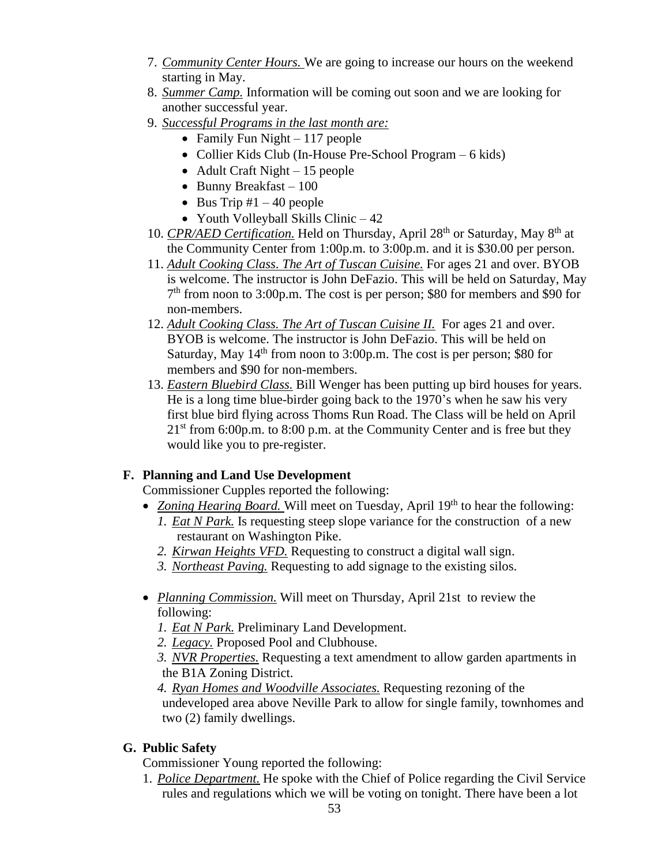- 7. *Community Center Hours.* We are going to increase our hours on the weekend starting in May.
- 8. *Summer Camp.* Information will be coming out soon and we are looking for another successful year.
- 9. *Successful Programs in the last month are:*
	- Family Fun Night 117 people
	- Collier Kids Club (In-House Pre-School Program 6 kids)
	- Adult Craft Night 15 people
	- Bunny Breakfast 100
	- Bus Trip  $#1 40$  people
	- Youth Volleyball Skills Clinic 42
- 10. *CPR/AED Certification*. Held on Thursday, April 28<sup>th</sup> or Saturday, May 8<sup>th</sup> at the Community Center from 1:00p.m. to 3:00p.m. and it is \$30.00 per person.
- 11. *Adult Cooking Class. The Art of Tuscan Cuisine.* For ages 21 and over. BYOB is welcome. The instructor is John DeFazio. This will be held on Saturday, May 7 th from noon to 3:00p.m. The cost is per person; \$80 for members and \$90 for non-members.
- 12. *Adult Cooking Class. The Art of Tuscan Cuisine II.* For ages 21 and over. BYOB is welcome. The instructor is John DeFazio. This will be held on Saturday, May  $14<sup>th</sup>$  from noon to 3:00p.m. The cost is per person; \$80 for members and \$90 for non-members.
- 13. *Eastern Bluebird Class.* Bill Wenger has been putting up bird houses for years. He is a long time blue-birder going back to the 1970's when he saw his very first blue bird flying across Thoms Run Road. The Class will be held on April  $21<sup>st</sup>$  from 6:00p.m. to 8:00 p.m. at the Community Center and is free but they would like you to pre-register.

# **F. Planning and Land Use Development**

Commissioner Cupples reported the following:

- *Zoning Hearing Board*. Will meet on Tuesday, April 19<sup>th</sup> to hear the following:
	- *1. Eat N Park.* Is requesting steep slope variance for the construction of a new restaurant on Washington Pike.
	- *2. Kirwan Heights VFD.* Requesting to construct a digital wall sign.
	- *3. Northeast Paving.* Requesting to add signage to the existing silos.
- *Planning Commission.* Will meet on Thursday, April 21st to review the following:
	- *1. Eat N Park.* Preliminary Land Development.
	- *2. Legacy.* Proposed Pool and Clubhouse.
	- *3. NVR Properties.* Requesting a text amendment to allow garden apartments in the B1A Zoning District.

*4. Ryan Homes and Woodville Associates.* Requesting rezoning of the undeveloped area above Neville Park to allow for single family, townhomes and two (2) family dwellings.

# **G. Public Safety**

Commissioner Young reported the following:

1. *Police Department.* He spoke with the Chief of Police regarding the Civil Service rules and regulations which we will be voting on tonight. There have been a lot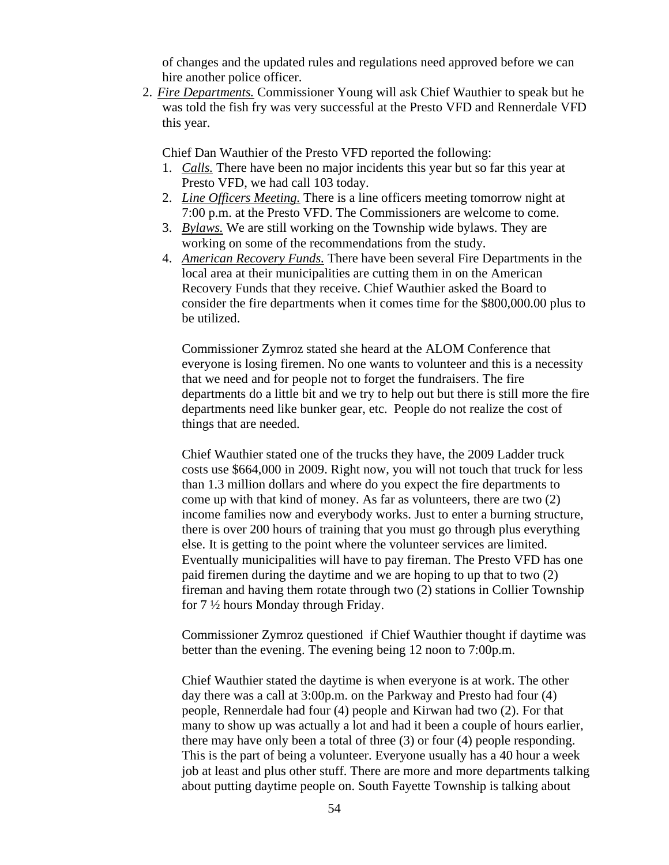of changes and the updated rules and regulations need approved before we can hire another police officer.

2. *Fire Departments.* Commissioner Young will ask Chief Wauthier to speak but he was told the fish fry was very successful at the Presto VFD and Rennerdale VFD this year.

Chief Dan Wauthier of the Presto VFD reported the following:

- 1. *Calls.* There have been no major incidents this year but so far this year at Presto VFD, we had call 103 today.
- 2. *Line Officers Meeting.* There is a line officers meeting tomorrow night at 7:00 p.m. at the Presto VFD. The Commissioners are welcome to come.
- 3. *Bylaws.* We are still working on the Township wide bylaws. They are working on some of the recommendations from the study.
- 4. *American Recovery Funds.* There have been several Fire Departments in the local area at their municipalities are cutting them in on the American Recovery Funds that they receive. Chief Wauthier asked the Board to consider the fire departments when it comes time for the \$800,000.00 plus to be utilized.

Commissioner Zymroz stated she heard at the ALOM Conference that everyone is losing firemen. No one wants to volunteer and this is a necessity that we need and for people not to forget the fundraisers. The fire departments do a little bit and we try to help out but there is still more the fire departments need like bunker gear, etc. People do not realize the cost of things that are needed.

Chief Wauthier stated one of the trucks they have, the 2009 Ladder truck costs use \$664,000 in 2009. Right now, you will not touch that truck for less than 1.3 million dollars and where do you expect the fire departments to come up with that kind of money. As far as volunteers, there are two (2) income families now and everybody works. Just to enter a burning structure, there is over 200 hours of training that you must go through plus everything else. It is getting to the point where the volunteer services are limited. Eventually municipalities will have to pay fireman. The Presto VFD has one paid firemen during the daytime and we are hoping to up that to two (2) fireman and having them rotate through two (2) stations in Collier Township for 7 ½ hours Monday through Friday.

Commissioner Zymroz questioned if Chief Wauthier thought if daytime was better than the evening. The evening being 12 noon to 7:00p.m.

Chief Wauthier stated the daytime is when everyone is at work. The other day there was a call at 3:00p.m. on the Parkway and Presto had four (4) people, Rennerdale had four (4) people and Kirwan had two (2). For that many to show up was actually a lot and had it been a couple of hours earlier, there may have only been a total of three (3) or four (4) people responding. This is the part of being a volunteer. Everyone usually has a 40 hour a week job at least and plus other stuff. There are more and more departments talking about putting daytime people on. South Fayette Township is talking about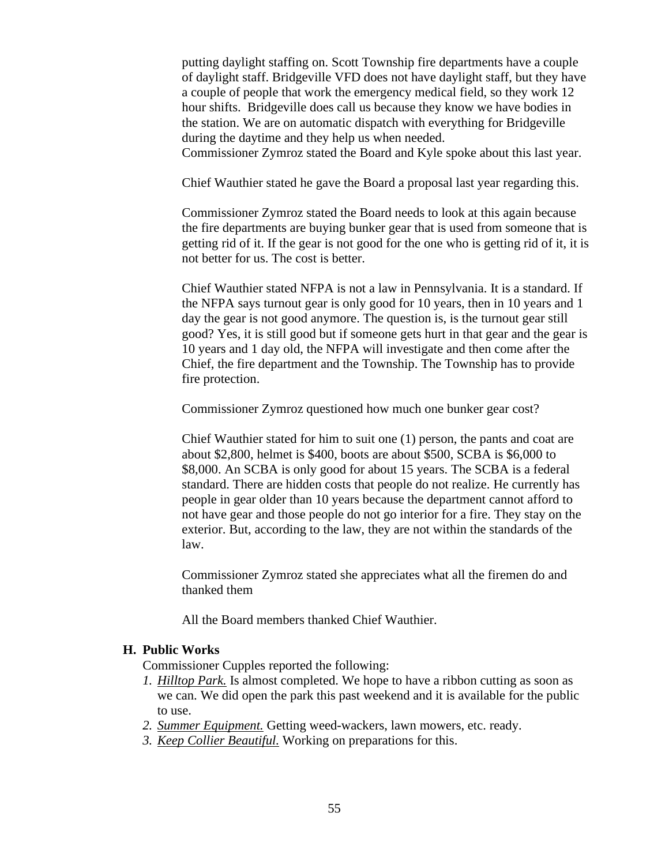putting daylight staffing on. Scott Township fire departments have a couple of daylight staff. Bridgeville VFD does not have daylight staff, but they have a couple of people that work the emergency medical field, so they work 12 hour shifts. Bridgeville does call us because they know we have bodies in the station. We are on automatic dispatch with everything for Bridgeville during the daytime and they help us when needed.

Commissioner Zymroz stated the Board and Kyle spoke about this last year.

Chief Wauthier stated he gave the Board a proposal last year regarding this.

Commissioner Zymroz stated the Board needs to look at this again because the fire departments are buying bunker gear that is used from someone that is getting rid of it. If the gear is not good for the one who is getting rid of it, it is not better for us. The cost is better.

Chief Wauthier stated NFPA is not a law in Pennsylvania. It is a standard. If the NFPA says turnout gear is only good for 10 years, then in 10 years and 1 day the gear is not good anymore. The question is, is the turnout gear still good? Yes, it is still good but if someone gets hurt in that gear and the gear is 10 years and 1 day old, the NFPA will investigate and then come after the Chief, the fire department and the Township. The Township has to provide fire protection.

Commissioner Zymroz questioned how much one bunker gear cost?

Chief Wauthier stated for him to suit one (1) person, the pants and coat are about \$2,800, helmet is \$400, boots are about \$500, SCBA is \$6,000 to \$8,000. An SCBA is only good for about 15 years. The SCBA is a federal standard. There are hidden costs that people do not realize. He currently has people in gear older than 10 years because the department cannot afford to not have gear and those people do not go interior for a fire. They stay on the exterior. But, according to the law, they are not within the standards of the law.

Commissioner Zymroz stated she appreciates what all the firemen do and thanked them

All the Board members thanked Chief Wauthier.

# **H. Public Works**

Commissioner Cupples reported the following:

- *1. Hilltop Park.* Is almost completed. We hope to have a ribbon cutting as soon as we can. We did open the park this past weekend and it is available for the public to use.
- *2. Summer Equipment.* Getting weed-wackers, lawn mowers, etc. ready.
- *3. Keep Collier Beautiful.* Working on preparations for this.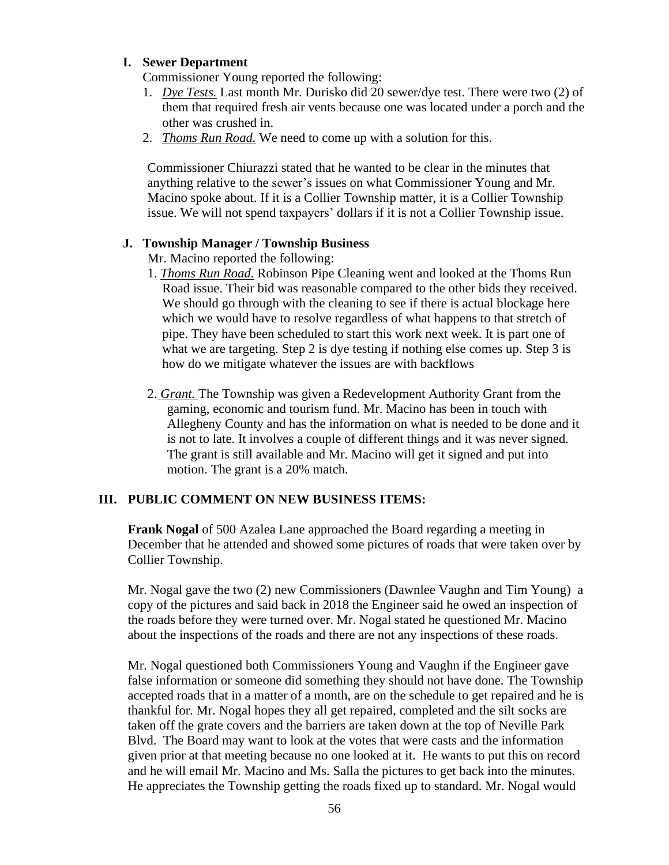# **I. Sewer Department**

Commissioner Young reported the following:

- 1. *Dye Tests.* Last month Mr. Durisko did 20 sewer/dye test. There were two (2) of them that required fresh air vents because one was located under a porch and the other was crushed in.
- 2. *Thoms Run Road.* We need to come up with a solution for this.

Commissioner Chiurazzi stated that he wanted to be clear in the minutes that anything relative to the sewer's issues on what Commissioner Young and Mr. Macino spoke about. If it is a Collier Township matter, it is a Collier Township issue. We will not spend taxpayers' dollars if it is not a Collier Township issue.

## **J. Township Manager / Township Business**

Mr. Macino reported the following:

- 1. *Thoms Run Road.* Robinson Pipe Cleaning went and looked at the Thoms Run Road issue. Their bid was reasonable compared to the other bids they received. We should go through with the cleaning to see if there is actual blockage here which we would have to resolve regardless of what happens to that stretch of pipe. They have been scheduled to start this work next week. It is part one of what we are targeting. Step 2 is dye testing if nothing else comes up. Step 3 is how do we mitigate whatever the issues are with backflows
- 2. *Grant.* The Township was given a Redevelopment Authority Grant from the gaming, economic and tourism fund. Mr. Macino has been in touch with Allegheny County and has the information on what is needed to be done and it is not to late. It involves a couple of different things and it was never signed. The grant is still available and Mr. Macino will get it signed and put into motion. The grant is a 20% match.

# **III. PUBLIC COMMENT ON NEW BUSINESS ITEMS:**

**Frank Nogal** of 500 Azalea Lane approached the Board regarding a meeting in December that he attended and showed some pictures of roads that were taken over by Collier Township.

Mr. Nogal gave the two (2) new Commissioners (Dawnlee Vaughn and Tim Young) a copy of the pictures and said back in 2018 the Engineer said he owed an inspection of the roads before they were turned over. Mr. Nogal stated he questioned Mr. Macino about the inspections of the roads and there are not any inspections of these roads.

Mr. Nogal questioned both Commissioners Young and Vaughn if the Engineer gave false information or someone did something they should not have done. The Township accepted roads that in a matter of a month, are on the schedule to get repaired and he is thankful for. Mr. Nogal hopes they all get repaired, completed and the silt socks are taken off the grate covers and the barriers are taken down at the top of Neville Park Blvd. The Board may want to look at the votes that were casts and the information given prior at that meeting because no one looked at it. He wants to put this on record and he will email Mr. Macino and Ms. Salla the pictures to get back into the minutes. He appreciates the Township getting the roads fixed up to standard. Mr. Nogal would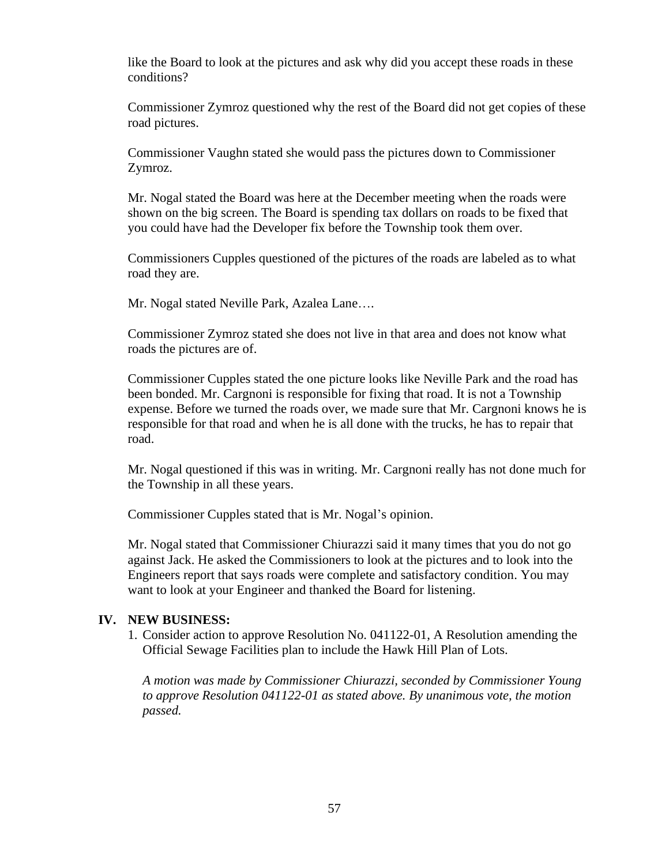like the Board to look at the pictures and ask why did you accept these roads in these conditions?

Commissioner Zymroz questioned why the rest of the Board did not get copies of these road pictures.

Commissioner Vaughn stated she would pass the pictures down to Commissioner Zymroz.

Mr. Nogal stated the Board was here at the December meeting when the roads were shown on the big screen. The Board is spending tax dollars on roads to be fixed that you could have had the Developer fix before the Township took them over.

Commissioners Cupples questioned of the pictures of the roads are labeled as to what road they are.

Mr. Nogal stated Neville Park, Azalea Lane….

Commissioner Zymroz stated she does not live in that area and does not know what roads the pictures are of.

Commissioner Cupples stated the one picture looks like Neville Park and the road has been bonded. Mr. Cargnoni is responsible for fixing that road. It is not a Township expense. Before we turned the roads over, we made sure that Mr. Cargnoni knows he is responsible for that road and when he is all done with the trucks, he has to repair that road.

Mr. Nogal questioned if this was in writing. Mr. Cargnoni really has not done much for the Township in all these years.

Commissioner Cupples stated that is Mr. Nogal's opinion.

Mr. Nogal stated that Commissioner Chiurazzi said it many times that you do not go against Jack. He asked the Commissioners to look at the pictures and to look into the Engineers report that says roads were complete and satisfactory condition. You may want to look at your Engineer and thanked the Board for listening.

# **IV. NEW BUSINESS:**

1. Consider action to approve Resolution No. 041122-01, A Resolution amending the Official Sewage Facilities plan to include the Hawk Hill Plan of Lots.

*A motion was made by Commissioner Chiurazzi, seconded by Commissioner Young to approve Resolution 041122-01 as stated above. By unanimous vote, the motion passed.*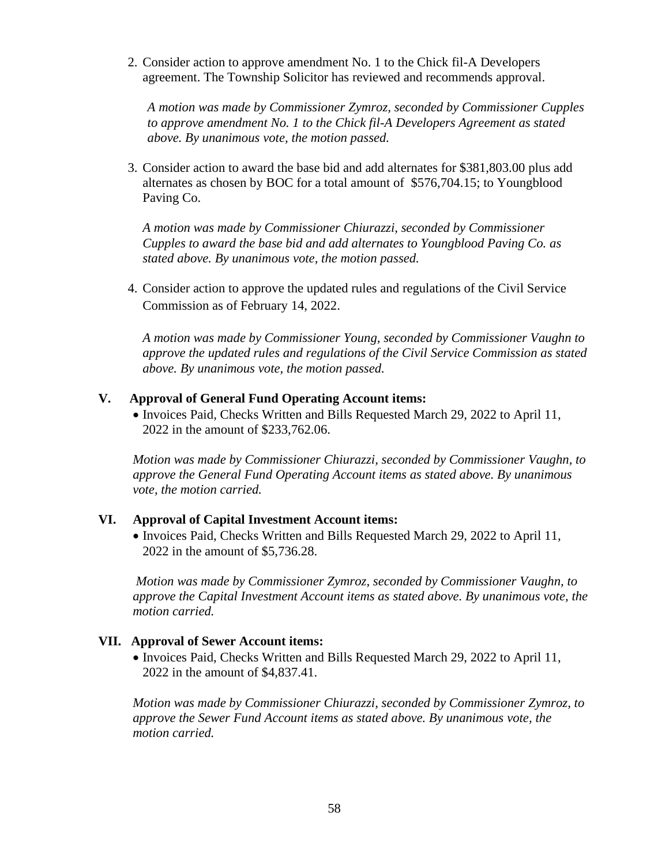2. Consider action to approve amendment No. 1 to the Chick fil-A Developers agreement. The Township Solicitor has reviewed and recommends approval.

*A motion was made by Commissioner Zymroz, seconded by Commissioner Cupples to approve amendment No. 1 to the Chick fil-A Developers Agreement as stated above. By unanimous vote, the motion passed.*

3. Consider action to award the base bid and add alternates for \$381,803.00 plus add alternates as chosen by BOC for a total amount of \$576,704.15; to Youngblood Paving Co.

*A motion was made by Commissioner Chiurazzi, seconded by Commissioner Cupples to award the base bid and add alternates to Youngblood Paving Co. as stated above. By unanimous vote, the motion passed.*

4. Consider action to approve the updated rules and regulations of the Civil Service Commission as of February 14, 2022.

*A motion was made by Commissioner Young, seconded by Commissioner Vaughn to approve the updated rules and regulations of the Civil Service Commission as stated above. By unanimous vote, the motion passed.*

# **V. Approval of General Fund Operating Account items:**

• Invoices Paid, Checks Written and Bills Requested March 29, 2022 to April 11, 2022 in the amount of \$233,762.06.

*Motion was made by Commissioner Chiurazzi, seconded by Commissioner Vaughn, to approve the General Fund Operating Account items as stated above. By unanimous vote, the motion carried.*

# **VI. Approval of Capital Investment Account items:**

• Invoices Paid, Checks Written and Bills Requested March 29, 2022 to April 11, 2022 in the amount of \$5,736.28.

*Motion was made by Commissioner Zymroz, seconded by Commissioner Vaughn, to approve the Capital Investment Account items as stated above. By unanimous vote, the motion carried.*

# **VII. Approval of Sewer Account items:**

• Invoices Paid, Checks Written and Bills Requested March 29, 2022 to April 11, 2022 in the amount of \$4,837.41.

*Motion was made by Commissioner Chiurazzi, seconded by Commissioner Zymroz, to approve the Sewer Fund Account items as stated above. By unanimous vote, the motion carried.*